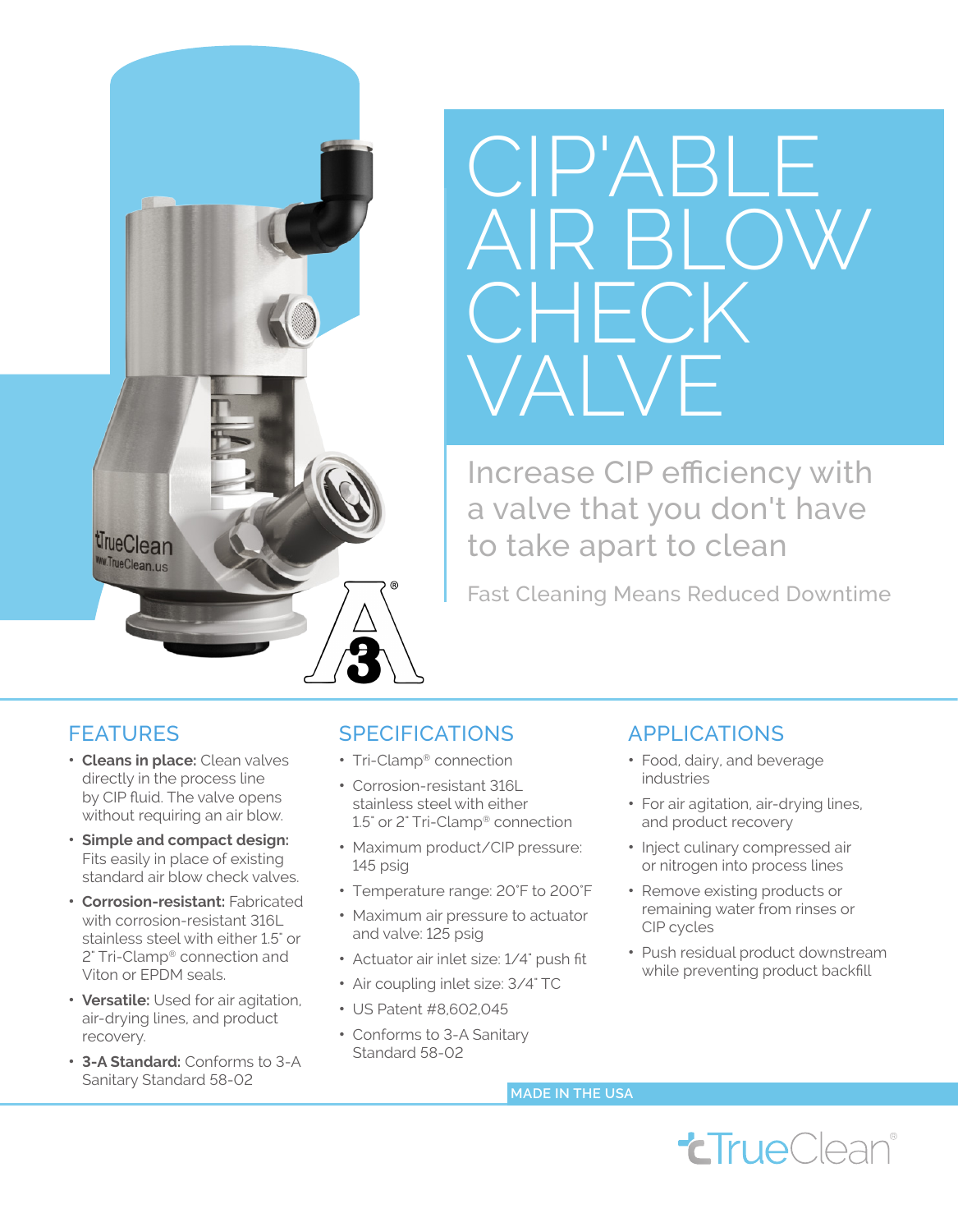



Increase CIP efficiency with a valve that you don't have to take apart to clean

Fast Cleaning Means Reduced Downtime

## **FEATURES**

- **Cleans in place:** Clean valves directly in the process line by CIP fluid. The valve opens without requiring an air blow.
- **Simple and compact design:** Fits easily in place of existing standard air blow check valves.
- **Corrosion-resistant:** Fabricated with corrosion-resistant 316L stainless steel with either 1.5" or 2" Tri-Clamp® connection and Viton or EPDM seals.
- **Versatile:** Used for air agitation, air-drying lines, and product recovery.
- **3-A Standard:** Conforms to 3-A Sanitary Standard 58-02

## SPECIFICATIONS

- Tri-Clamp<sup>®</sup> connection
- Corrosion-resistant 316L stainless steel with either 1.5" or 2" Tri-Clamp® connection
- Maximum product/CIP pressure: 145 psig
- Temperature range: 20°F to 200°F
- Maximum air pressure to actuator and valve: 125 psig
- Actuator air inlet size: 1/4" push fit
- Air coupling inlet size: 3/4" TC
- US Patent #8,602,045
- Conforms to 3-A Sanitary Standard 58-02

## APPLICATIONS

- Food, dairy, and beverage industries
- For air agitation, air-drying lines, and product recovery
- Inject culinary compressed air or nitrogen into process lines
- Remove existing products or remaining water from rinses or CIP cycles
- Push residual product downstream while preventing product backfill

**MADE IN THE USA**